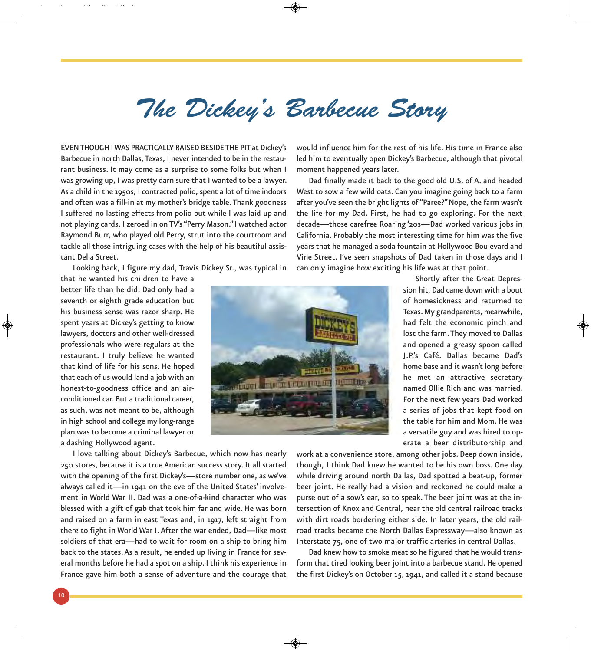#### *The Dickey's Barbecue Story*

EVEN THOUGH I WAS PRACTICALLY RAISED BESIDE THE PIT at Dickey's Barbecue in north Dallas, Texas, I never intended to be in the restaurant business. It may come as a surprise to some folks but when I was growing up, I was pretty darn sure that I wanted to be a lawyer. As a child in the 1950s, I contracted polio, spent a lot of time indoors and often was a fill-in at my mother's bridge table. Thank goodness I suffered no lasting effects from polio but while I was laid up and not playing cards, I zeroed in on TV's "Perry Mason." I watched actor Raymond Burr, who played old Perry, strut into the courtroom and tackle all those intriguing cases with the help of his beautiful assistant Della Street.

Looking back, I figure my dad, Travis Dickey Sr., was typical in

that he wanted his children to have a better life than he did. Dad only had a seventh or eighth grade education but his business sense was razor sharp. He spent years at Dickey's getting to know lawyers, doctors and other well-dressed professionals who were regulars at the restaurant. I truly believe he wanted that kind of life for his sons. He hoped that each of us would land a job with an honest-to-goodness office and an airconditioned car. But a traditional career, as such, was not meant to be, although in high school and college my long-range plan was to become a criminal lawyer or a dashing Hollywood agent.

I love talking about Dickey's Barbecue, which now has nearly 250 stores, because it is a true American success story. It all started with the opening of the first Dickey's—store number one, as we've always called it—in 1941 on the eve of the United States' involvement in World War II. Dad was a one-of-a-kind character who was blessed with a gift of gab that took him far and wide. He was born and raised on a farm in east Texas and, in 1917, left straight from there to fight in World War I. After the war ended, Dad—like most soldiers of that era—had to wait for room on a ship to bring him back to the states. As a result, he ended up living in France for several months before he had a spot on a ship. I think his experience in France gave him both a sense of adventure and the courage that would influence him for the rest of his life. His time in France also led him to eventually open Dickey's Barbecue, although that pivotal moment happened years later.

Dad finally made it back to the good old U.S. of A. and headed West to sow a few wild oats. Can you imagine going back to a farm after you've seen the bright lights of "Paree?" Nope, the farm wasn't the life for my Dad. First, he had to go exploring. For the next decade—those carefree Roaring '20s—Dad worked various jobs in California. Probably the most interesting time for him was the five years that he managed a soda fountain at Hollywood Boulevard and Vine Street. I've seen snapshots of Dad taken in those days and I can only imagine how exciting his life was at that point.



Shortly after the Great Depression hit, Dad came down with a bout of homesickness and returned to Texas. My grandparents, meanwhile, had felt the economic pinch and lost the farm. They moved to Dallas and opened a greasy spoon called J.P.'s Café. Dallas became Dad's home base and it wasn't long before he met an attractive secretary named Ollie Rich and was married. For the next few years Dad worked a series of jobs that kept food on the table for him and Mom. He was a versatile guy and was hired to operate a beer distributorship and

work at a convenience store, among other jobs. Deep down inside, though, I think Dad knew he wanted to be his own boss. One day while driving around north Dallas, Dad spotted a beat-up, former beer joint. He really had a vision and reckoned he could make a purse out of a sow's ear, so to speak. The beer joint was at the intersection of Knox and Central, near the old central railroad tracks with dirt roads bordering either side. In later years, the old railroad tracks became the North Dallas Expressway—also known as Interstate 75, one of two major traffic arteries in central Dallas.

Dad knew how to smoke meat so he figured that he would transform that tired looking beer joint into a barbecue stand. He opened the first Dickey's on October 15, 1941, and called it a stand because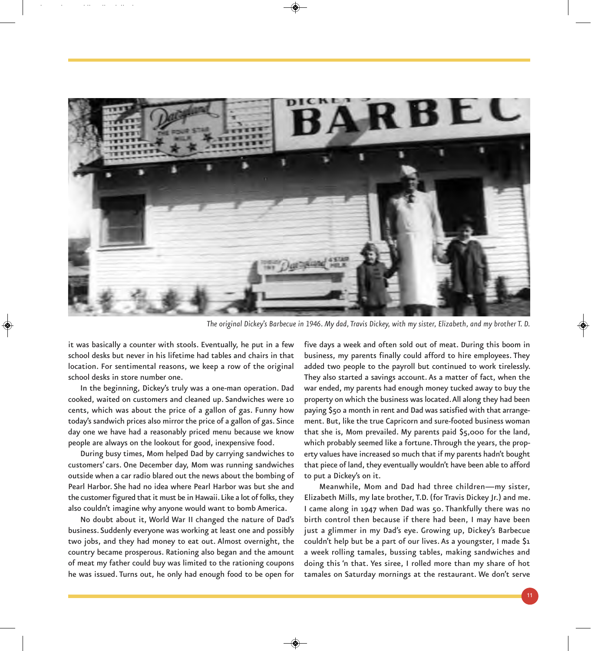

*The original Dickey's Barbecue in 1946. My dad, Travis Dickey, with my sister, Elizabeth, and my brother T. D.*

it was basically a counter with stools. Eventually, he put in a few school desks but never in his lifetime had tables and chairs in that location. For sentimental reasons, we keep a row of the original school desks in store number one.

In the beginning, Dickey's truly was a one-man operation. Dad cooked, waited on customers and cleaned up. Sandwiches were 10 cents, which was about the price of a gallon of gas. Funny how today's sandwich prices also mirror the price of a gallon of gas. Since day one we have had a reasonably priced menu because we know people are always on the lookout for good, inexpensive food.

During busy times, Mom helped Dad by carrying sandwiches to customers' cars. One December day, Mom was running sandwiches outside when a car radio blared out the news about the bombing of Pearl Harbor. She had no idea where Pearl Harbor was but she and the customer figured that it must be in Hawaii. Like a lot of folks, they also couldn't imagine why anyone would want to bomb America.

No doubt about it, World War II changed the nature of Dad's business. Suddenly everyone was working at least one and possibly two jobs, and they had money to eat out. Almost overnight, the country became prosperous. Rationing also began and the amount of meat my father could buy was limited to the rationing coupons he was issued. Turns out, he only had enough food to be open for

five days a week and often sold out of meat. During this boom in business, my parents finally could afford to hire employees. They added two people to the payroll but continued to work tirelessly. They also started a savings account. As a matter of fact, when the war ended, my parents had enough money tucked away to buy the property on which the business was located. All along they had been paying \$50 a month in rent and Dad was satisfied with that arrangement. But, like the true Capricorn and sure-footed business woman that she is, Mom prevailed. My parents paid \$5,000 for the land, which probably seemed like a fortune. Through the years, the property values have increased so much that if my parents hadn't bought that piece of land, they eventually wouldn't have been able to afford to put a Dickey's on it.

Meanwhile, Mom and Dad had three children—my sister, Elizabeth Mills, my late brother, T.D. (for Travis Dickey Jr.) and me. I came along in 1947 when Dad was 50. Thankfully there was no birth control then because if there had been, I may have been just a glimmer in my Dad's eye. Growing up, Dickey's Barbecue couldn't help but be a part of our lives. As a youngster, I made \$1 a week rolling tamales, bussing tables, making sandwiches and doing this 'n that. Yes siree, I rolled more than my share of hot tamales on Saturday mornings at the restaurant. We don't serve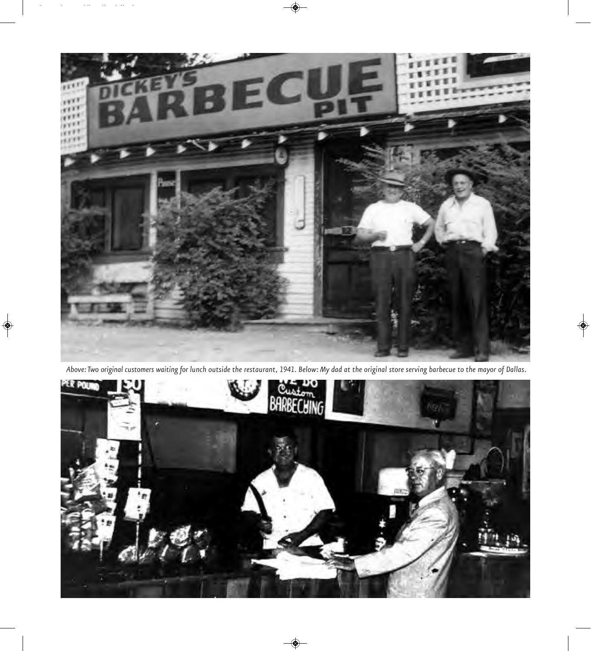

*Above: Two original customers waiting for lunch outside the restaurant, 1941. Below: My dad at the original store serving barbecue to the mayor of Dallas.*

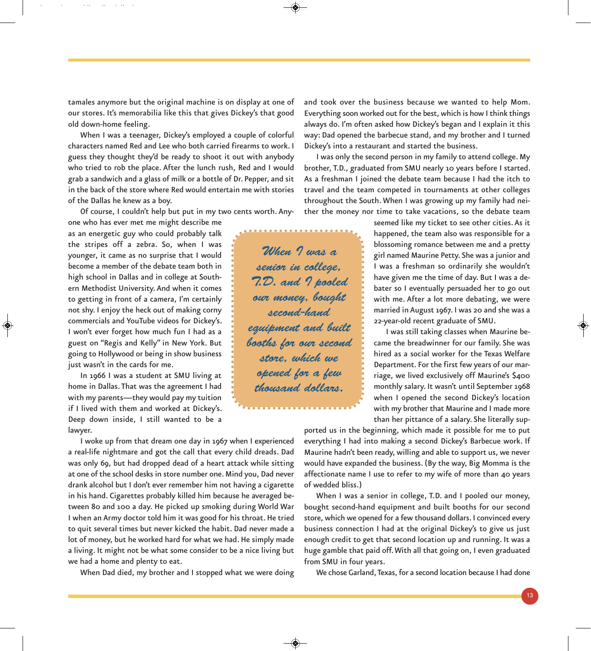tamales anymore but the original machine is on display at one of our stores. It's memorabilia like this that gives Dickey's that good old down-home feeling.

When I was a teenager, Dickey's employed a couple of colorful characters named Red and Lee who both carried firearms to work. I guess they thought they'd be ready to shoot it out with anybody who tried to rob the place. After the lunch rush, Red and I would grab a sandwich and a glass of milk or a bottle of Dr. Pepper, and sit in the back of the store where Red would entertain me with stories of the Dallas he knew as a boy.

Of course, I couldn't help but put in my two cents worth. Any-

one who has ever met me might describe me as an energetic guy who could probably talk the stripes off a zebra. So, when I was younger, it came as no surprise that I would become a member of the debate team both in high school in Dallas and in college at Southern Methodist University. And when it comes to getting in front of a camera, I'm certainly not shy. I enjoy the heck out of making corny commercials and YouTube videos for Dickey's. I won't ever forget how much fun I had as a guest on "Regis and Kelly" in New York. But going to Hollywood or being in show business just wasn't in the cards for me.

In 1966 I was a student at SMU living at home in Dallas. That was the agreement I had with my parents—they would pay my tuition if I lived with them and worked at Dickey's. Deep down inside, I still wanted to be a lawyer.

I woke up from that dream one day in 1967 when I experienced a real-life nightmare and got the call that every child dreads. Dad was only 69, but had dropped dead of a heart attack while sitting at one of the school desks in store number one. Mind you, Dad never drank alcohol but I don't ever remember him not having a cigarette in his hand. Cigarettes probably killed him because he averaged between 80 and 100 a day. He picked up smoking during World War I when an Army doctor told him it was good for his throat. He tried to quit several times but never kicked the habit. Dad never made a lot of money, but he worked hard for what we had. He simply made a living. It might not be what some consider to be a nice living but we had a home and plenty to eat.

When Dad died, my brother and I stopped what we were doing

and took over the business because we wanted to help Mom. Everything soon worked out for the best, which is how I think things always do. I'm often asked how Dickey's began and I explain it this way: Dad opened the barbecue stand, and my brother and I turned Dickey's into a restaurant and started the business.

I was only the second person in my family to attend college. My brother, T.D., graduated from SMU nearly 10 years before I started. As a freshman I joined the debate team because I had the itch to travel and the team competed in tournaments at other colleges throughout the South. When I was growing up my family had neither the money nor time to take vacations, so the debate team

> seemed like my ticket to see other cities. As it happened, the team also was responsible for a blossoming romance between me and a pretty girl named Maurine Petty. She was a junior and I was a freshman so ordinarily she wouldn't have given me the time of day. But I was a debater so I eventually persuaded her to go out with me. After a lot more debating, we were married in August 1967. I was 20 and she was a 22-year-old recent graduate of SMU.

> I was still taking classes when Maurine became the breadwinner for our family. She was hired as a social worker for the Texas Welfare Department. For the first few years of our marriage, we lived exclusively off Maurine's \$400 monthly salary. It wasn't until September 1968 when I opened the second Dickey's location with my brother that Maurine and I made more than her pittance of a salary. She literally sup-

ported us in the beginning, which made it possible for me to put everything I had into making a second Dickey's Barbecue work. If Maurine hadn't been ready, willing and able to support us, we never would have expanded the business. (By the way, Big Momma is the affectionate name I use to refer to my wife of more than 40 years of wedded bliss.)

When I was a senior in college, T.D. and I pooled our money, bought second-hand equipment and built booths for our second store, which we opened for a few thousand dollars. I convinced every business connection I had at the original Dickey's to give us just enough credit to get that second location up and running. It was a huge gamble that paid off. With all that going on, I even graduated from SMU in four years.

We chose Garland, Texas, for a second location because I had done

*When I was a senior in college, T.D. and I pooled our money, bought second-hand equipment and built booths for our second store, which we opened for a few thousand dollars.*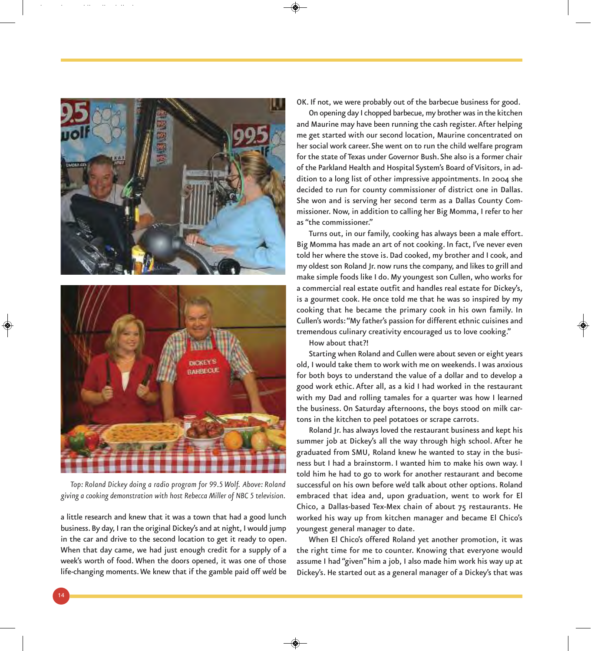



*Top: Roland Dickey doing a radio program for 99.5 Wolf. Above: Roland giving a cooking demonstration with host Rebecca Miller of NBC 5 television.*

a little research and knew that it was a town that had a good lunch business. By day, I ran the original Dickey's and at night, I would jump in the car and drive to the second location to get it ready to open. When that day came, we had just enough credit for a supply of a week's worth of food. When the doors opened, it was one of those life-changing moments. We knew that if the gamble paid off we'd be

OK. If not, we were probably out of the barbecue business for good.

On opening day I chopped barbecue, my brother was in the kitchen and Maurine may have been running the cash register. After helping me get started with our second location, Maurine concentrated on her social work career. She went on to run the child welfare program for the state of Texas under Governor Bush. She also is a former chair of the Parkland Health and Hospital System's Board of Visitors, in addition to a long list of other impressive appointments. In 2004 she decided to run for county commissioner of district one in Dallas. She won and is serving her second term as a Dallas County Commissioner. Now, in addition to calling her Big Momma, I refer to her as "the commissioner."

Turns out, in our family, cooking has always been a male effort. Big Momma has made an art of not cooking. In fact, I've never even told her where the stove is. Dad cooked, my brother and I cook, and my oldest son Roland Jr. now runs the company, and likes to grill and make simple foods like I do. My youngest son Cullen, who works for a commercial real estate outfit and handles real estate for Dickey's, is a gourmet cook. He once told me that he was so inspired by my cooking that he became the primary cook in his own family. In Cullen's words: "My father's passion for different ethnic cuisines and tremendous culinary creativity encouraged us to love cooking."

How about that?!

Starting when Roland and Cullen were about seven or eight years old, I would take them to work with me on weekends. I was anxious for both boys to understand the value of a dollar and to develop a good work ethic. After all, as a kid I had worked in the restaurant with my Dad and rolling tamales for a quarter was how I learned the business. On Saturday afternoons, the boys stood on milk cartons in the kitchen to peel potatoes or scrape carrots.

Roland Jr. has always loved the restaurant business and kept his summer job at Dickey's all the way through high school. After he graduated from SMU, Roland knew he wanted to stay in the business but I had a brainstorm. I wanted him to make his own way. I told him he had to go to work for another restaurant and become successful on his own before we'd talk about other options. Roland embraced that idea and, upon graduation, went to work for El Chico, a Dallas-based Tex-Mex chain of about 75 restaurants. He worked his way up from kitchen manager and became El Chico's youngest general manager to date.

When El Chico's offered Roland yet another promotion, it was the right time for me to counter. Knowing that everyone would assume I had "given" him a job, I also made him work his way up at Dickey's. He started out as a general manager of a Dickey's that was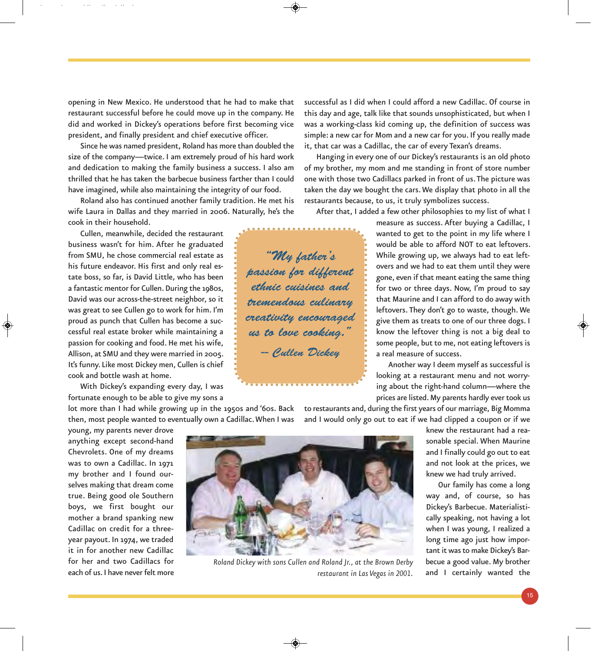opening in New Mexico. He understood that he had to make that restaurant successful before he could move up in the company. He did and worked in Dickey's operations before first becoming vice president, and finally president and chief executive officer.

Since he was named president, Roland has more than doubled the size of the company—twice. I am extremely proud of his hard work and dedication to making the family business a success. I also am thrilled that he has taken the barbecue business farther than I could have imagined, while also maintaining the integrity of our food.

Roland also has continued another family tradition. He met his wife Laura in Dallas and they married in 2006. Naturally, he's the cook in their household.

Cullen, meanwhile, decided the restaurant business wasn't for him. After he graduated from SMU, he chose commercial real estate as his future endeavor. His first and only real estate boss, so far, is David Little, who has been a fantastic mentor for Cullen. During the 1980s, David was our across-the-street neighbor, so it was great to see Cullen go to work for him. I'm proud as punch that Cullen has become a successful real estate broker while maintaining a passion for cooking and food. He met his wife, Allison, at SMU and they were married in 2005. It's funny. Like most Dickey men, Cullen is chief cook and bottle wash at home.

With Dickey's expanding every day, I was fortunate enough to be able to give my sons a

lot more than I had while growing up in the 1950s and '60s. Back then, most people wanted to eventually own a Cadillac. When I was

young, my parents never drove anything except second-hand Chevrolets. One of my dreams was to own a Cadillac. In 1971 my brother and I found ourselves making that dream come true. Being good ole Southern boys, we first bought our mother a brand spanking new Cadillac on credit for a threeyear payout. In 1974, we traded it in for another new Cadillac for her and two Cadillacs for each of us. I have never felt more successful as I did when I could afford a new Cadillac. Of course in this day and age, talk like that sounds unsophisticated, but when I was a working-class kid coming up, the definition of success was simple: a new car for Mom and a new car for you. If you really made it, that car was a Cadillac, the car of every Texan's dreams.

Hanging in every one of our Dickey's restaurants is an old photo of my brother, my mom and me standing in front of store number one with those two Cadillacs parked in front of us. The picture was taken the day we bought the cars. We display that photo in all the restaurants because, to us, it truly symbolizes success.

After that, I added a few other philosophies to my list of what I

measure as success. After buying a Cadillac, I wanted to get to the point in my life where I would be able to afford NOT to eat leftovers. While growing up, we always had to eat leftovers and we had to eat them until they were gone, even if that meant eating the same thing for two or three days. Now, I'm proud to say that Maurine and I can afford to do away with leftovers. They don't go to waste, though. We give them as treats to one of our three dogs. I know the leftover thing is not a big deal to some people, but to me, not eating leftovers is a real measure of success.

Another way I deem myself as successful is looking at a restaurant menu and not worrying about the right-hand column—where the prices are listed. My parents hardly ever took us

*"My father's passion for different ethnic cuisines and tremendous culinary creativity encouraged us to love cooking." -- Cullen Dickey*

> to restaurants and, during the first years of our marriage, Big Momma and I would only go out to eat if we had clipped a coupon or if we

> > knew the restaurant had a reasonable special. When Maurine and I finally could go out to eat and not look at the prices, we knew we had truly arrived.

Our family has come a long way and, of course, so has Dickey's Barbecue. Materialistically speaking, not having a lot when I was young, I realized a long time ago just how important it was to make Dickey's Barbecue a good value. My brother and I certainly wanted the



*Roland Dickey with sons Cullen and Roland Jr., at the Brown Derby restaurant in Las Vegas in 2001.*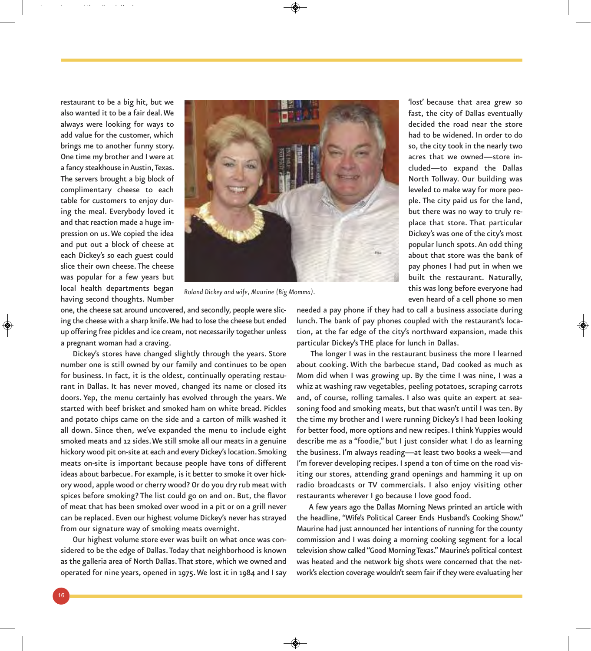restaurant to be a big hit, but we also wanted it to be a fair deal. We always were looking for ways to add value for the customer, which brings me to another funny story. One time my brother and I were at a fancy steakhouse in Austin, Texas. The servers brought a big block of complimentary cheese to each table for customers to enjoy during the meal. Everybody loved it and that reaction made a huge impression on us. We copied the idea and put out a block of cheese at each Dickey's so each guest could slice their own cheese. The cheese was popular for a few years but local health departments began having second thoughts. Number



*Roland Dickey and wife, Maurine (Big Momma).*

one, the cheese sat around uncovered, and secondly, people were slicing the cheese with a sharp knife. We had to lose the cheese but ended up offering free pickles and ice cream, not necessarily together unless a pregnant woman had a craving.

Dickey's stores have changed slightly through the years. Store number one is still owned by our family and continues to be open for business. In fact, it is the oldest, continually operating restaurant in Dallas. It has never moved, changed its name or closed its doors. Yep, the menu certainly has evolved through the years. We started with beef brisket and smoked ham on white bread. Pickles and potato chips came on the side and a carton of milk washed it all down. Since then, we've expanded the menu to include eight smoked meats and 12 sides. We still smoke all our meats in a genuine hickory wood pit on-site at each and every Dickey's location. Smoking meats on-site is important because people have tons of different ideas about barbecue. For example, is it better to smoke it over hickory wood, apple wood or cherry wood? Or do you dry rub meat with spices before smoking? The list could go on and on. But, the flavor of meat that has been smoked over wood in a pit or on a grill never can be replaced. Even our highest volume Dickey's never has strayed from our signature way of smoking meats overnight.

Our highest volume store ever was built on what once was considered to be the edge of Dallas. Today that neighborhood is known as the galleria area of North Dallas. That store, which we owned and operated for nine years, opened in 1975. We lost it in 1984 and I say

'lost' because that area grew so fast, the city of Dallas eventually decided the road near the store had to be widened. In order to do so, the city took in the nearly two acres that we owned—store included—to expand the Dallas North Tollway. Our building was leveled to make way for more people. The city paid us for the land, but there was no way to truly replace that store. That particular Dickey's was one of the city's most popular lunch spots. An odd thing about that store was the bank of pay phones I had put in when we built the restaurant. Naturally, this was long before everyone had even heard of a cell phone so men

needed a pay phone if they had to call a business associate during lunch. The bank of pay phones coupled with the restaurant's location, at the far edge of the city's northward expansion, made this particular Dickey's THE place for lunch in Dallas.

The longer I was in the restaurant business the more I learned about cooking. With the barbecue stand, Dad cooked as much as Mom did when I was growing up. By the time I was nine, I was a whiz at washing raw vegetables, peeling potatoes, scraping carrots and, of course, rolling tamales. I also was quite an expert at seasoning food and smoking meats, but that wasn't until I was ten. By the time my brother and I were running Dickey's I had been looking for better food, more options and new recipes. I think Yuppies would describe me as a "foodie," but I just consider what I do as learning the business. I'm always reading—at least two books a week—and I'm forever developing recipes. I spend a ton of time on the road visiting our stores, attending grand openings and hamming it up on radio broadcasts or TV commercials. I also enjoy visiting other restaurants wherever I go because I love good food.

A few years ago the Dallas Morning News printed an article with the headline, "Wife's Political Career Ends Husband's Cooking Show." Maurine had just announced her intentions of running for the county commission and I was doing a morning cooking segment for a local television show called "Good Morning Texas." Maurine's political contest was heated and the network big shots were concerned that the network's election coverage wouldn't seem fair if they were evaluating her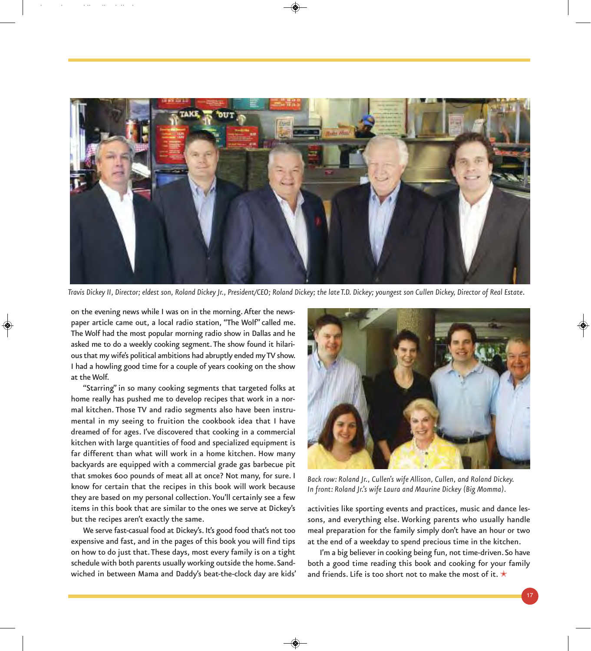

*Travis Dickey II, Director; eldest son, Roland Dickey Jr., President/CEO; Roland Dickey; the late T.D. Dickey; youngest son Cullen Dickey, Director of Real Estate.*

on the evening news while I was on in the morning. After the newspaper article came out, a local radio station, "The Wolf" called me. The Wolf had the most popular morning radio show in Dallas and he asked me to do a weekly cooking segment. The show found it hilarious that my wife's political ambitions had abruptly ended my TV show. I had a howling good time for a couple of years cooking on the show at the Wolf.

"Starring" in so many cooking segments that targeted folks at home really has pushed me to develop recipes that work in a normal kitchen. Those TV and radio segments also have been instrumental in my seeing to fruition the cookbook idea that I have dreamed of for ages. I've discovered that cooking in a commercial kitchen with large quantities of food and specialized equipment is far different than what will work in a home kitchen. How many backyards are equipped with a commercial grade gas barbecue pit that smokes 600 pounds of meat all at once? Not many, for sure. I know for certain that the recipes in this book will work because they are based on my personal collection. You'll certainly see a few items in this book that are similar to the ones we serve at Dickey's but the recipes aren't exactly the same.

We serve fast-casual food at Dickey's. It's good food that's not too expensive and fast, and in the pages of this book you will find tips on how to do just that. These days, most every family is on a tight schedule with both parents usually working outside the home. Sandwiched in between Mama and Daddy's beat-the-clock day are kids'



*Back row: Roland Jr., Cullen's wife Allison, Cullen, and Roland Dickey. In front: Roland Jr.'s wife Laura and Maurine Dickey (Big Momma).*

activities like sporting events and practices, music and dance lessons, and everything else. Working parents who usually handle meal preparation for the family simply don't have an hour or two at the end of a weekday to spend precious time in the kitchen.

I'm a big believer in cooking being fun, not time-driven. So have both a good time reading this book and cooking for your family and friends. Life is too short not to make the most of it.  $\star$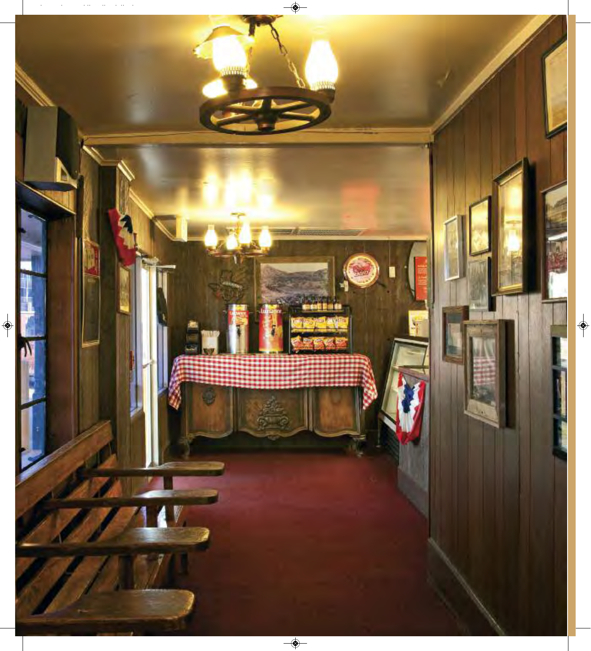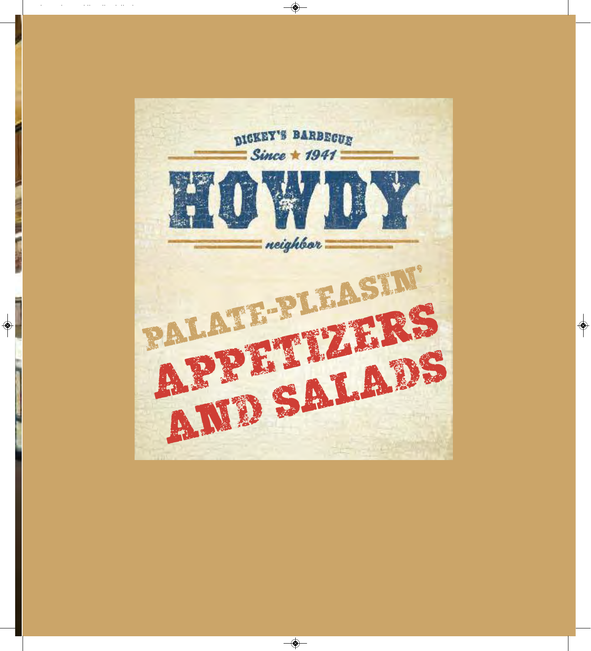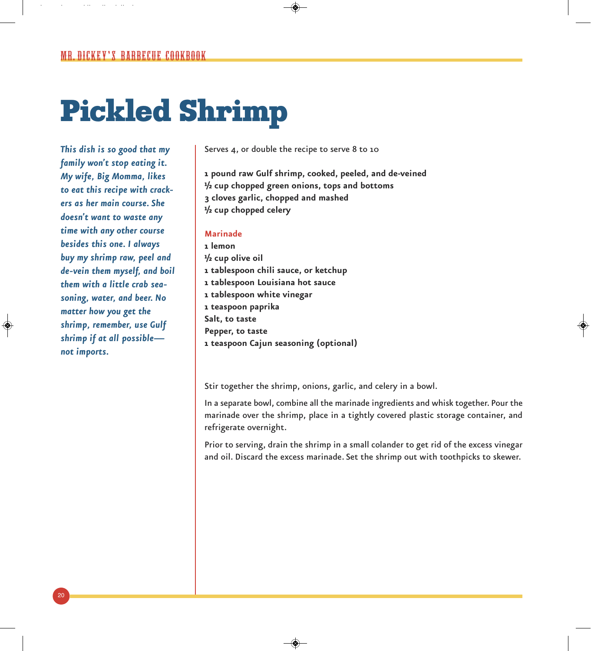# Pickled Shrimp

*This dish is so good that my family won't stop eating it. My wife, Big Momma, likes to eat this recipe with crackers as her main course. She doesn't want to waste any time with any other course besides this one. I always buy my shrimp raw, peel and de-vein them myself, and boil them with a little crab seasoning, water, and beer. No matter how you get the shrimp, remember, use Gulf shrimp if at all possible not imports.* 

Serves 4, or double the recipe to serve 8 to 10

**1 pound raw Gulf shrimp, cooked, peeled, and de-veined ½ cup chopped green onions, tops and bottoms 3 cloves garlic, chopped and mashed ½ cup chopped celery** 

#### **Marinade**

**1 lemon ½ cup olive oil 1 tablespoon chili sauce, or ketchup 1 tablespoon Louisiana hot sauce 1 tablespoon white vinegar 1 teaspoon paprika Salt, to taste Pepper, to taste 1 teaspoon Cajun seasoning (optional)**

Stir together the shrimp, onions, garlic, and celery in a bowl.

In a separate bowl, combine all the marinade ingredients and whisk together. Pour the marinade over the shrimp, place in a tightly covered plastic storage container, and refrigerate overnight.

Prior to serving, drain the shrimp in a small colander to get rid of the excess vinegar and oil. Discard the excess marinade. Set the shrimp out with toothpicks to skewer.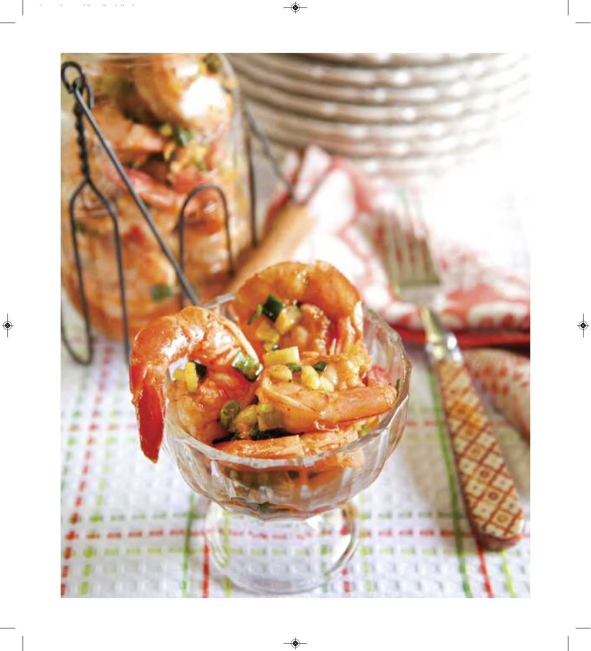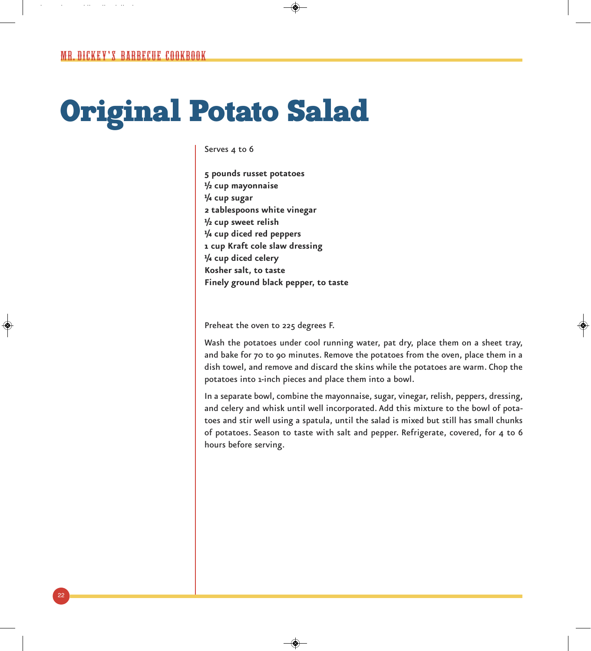# Original Potato Salad

Serves 4 to 6

**5 pounds russet potatoes ½ cup mayonnaise ¼ cup sugar 2 tablespoons white vinegar ½ cup sweet relish ¼ cup diced red peppers 1 cup Kraft cole slaw dressing ¼ cup diced celery Kosher salt, to taste Finely ground black pepper, to taste**

Preheat the oven to 225 degrees F.

Wash the potatoes under cool running water, pat dry, place them on a sheet tray, and bake for 70 to 90 minutes. Remove the potatoes from the oven, place them in a dish towel, and remove and discard the skins while the potatoes are warm. Chop the potatoes into 1-inch pieces and place them into a bowl.

In a separate bowl, combine the mayonnaise, sugar, vinegar, relish, peppers, dressing, and celery and whisk until well incorporated. Add this mixture to the bowl of potatoes and stir well using a spatula, until the salad is mixed but still has small chunks of potatoes. Season to taste with salt and pepper. Refrigerate, covered, for 4 to 6 hours before serving.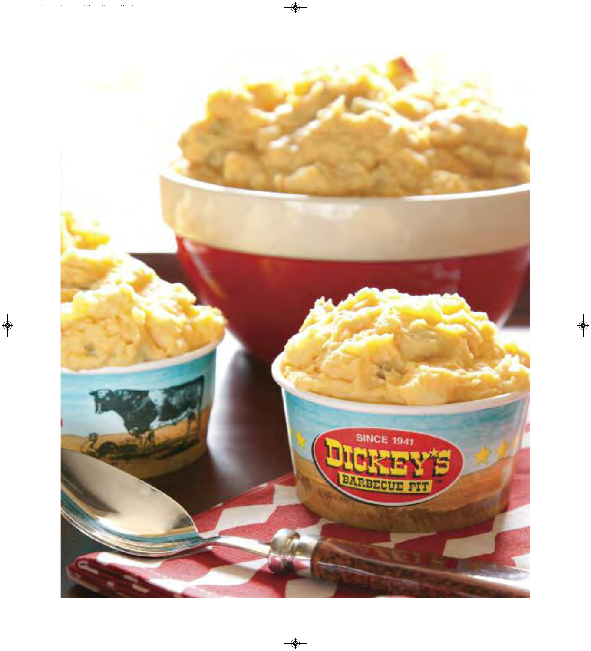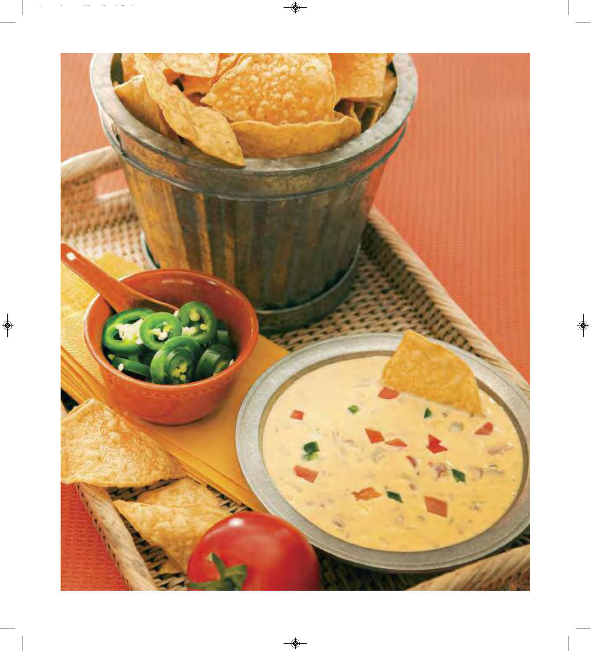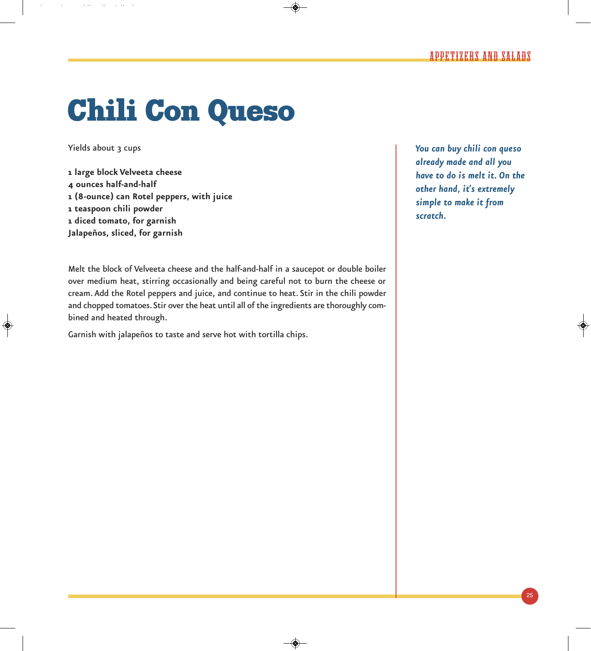## Chili Con Queso

Yields about 3 cups

**1 large block Velveeta cheese 4 ounces half-and-half 1 (8-ounce) can Rotel peppers, with juice 1 teaspoon chili powder 1 diced tomato, for garnish Jalapeños, sliced, for garnish**

Melt the block of Velveeta cheese and the half-and-half in a saucepot or double boiler over medium heat, stirring occasionally and being careful not to burn the cheese or cream. Add the Rotel peppers and juice, and continue to heat. Stir in the chili powder and chopped tomatoes. Stir over the heat until all of the ingredients are thoroughly combined and heated through.

Garnish with jalapeños to taste and serve hot with tortilla chips.

*You can buy chili con queso already made and all you have to do is melt it. On the other hand, it's extremely simple to make it from scratch.*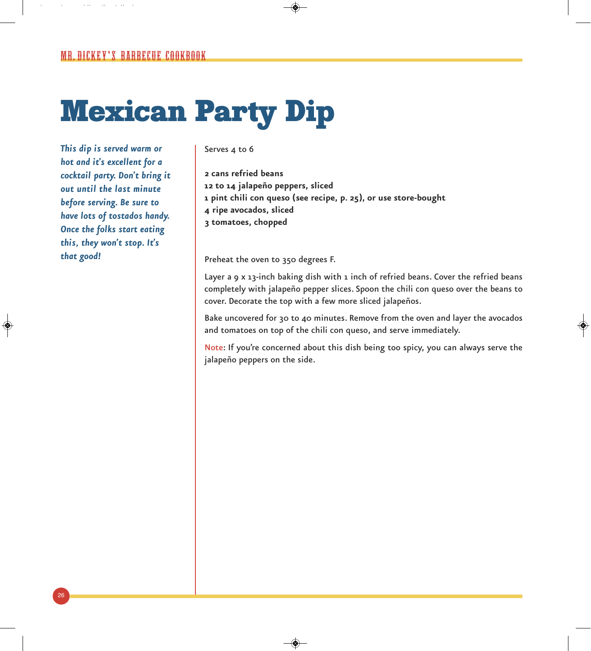# Mexican Party Dip

*This dip is served warm or hot and it's excellent for a cocktail party. Don't bring it out until the last minute before serving. Be sure to have lots of tostados handy. Once the folks start eating this, they won't stop. It's that good!*

Serves 4 to 6

**2 cans refried beans 12 to 14 jalapeño peppers, sliced 1 pint chili con queso (see recipe, p. 25), or use store-bought 4 ripe avocados, sliced 3 tomatoes, chopped** 

Preheat the oven to 350 degrees F.

Layer a 9 x 13-inch baking dish with 1 inch of refried beans. Cover the refried beans completely with jalapeño pepper slices. Spoon the chili con queso over the beans to cover. Decorate the top with a few more sliced jalapeños.

Bake uncovered for 30 to 40 minutes. Remove from the oven and layer the avocados and tomatoes on top of the chili con queso, and serve immediately.

Note: If you're concerned about this dish being too spicy, you can always serve the jalapeño peppers on the side.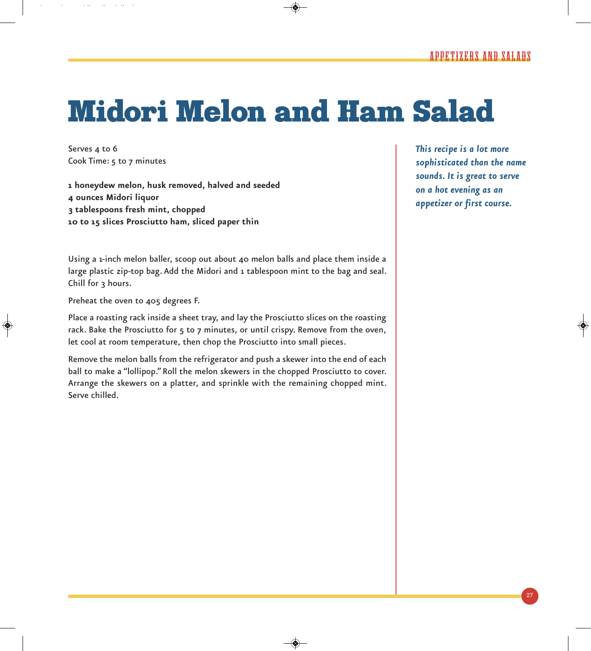## Midori Melon and Ham Salad

Serves 4 to 6 Cook Time: 5 to 7 minutes

**1 honeydew melon, husk removed, halved and seeded 4 ounces Midori liquor 3 tablespoons fresh mint, chopped 10 to 15 slices Prosciutto ham, sliced paper thin**

Using a 1-inch melon baller, scoop out about 40 melon balls and place them inside a large plastic zip-top bag. Add the Midori and 1 tablespoon mint to the bag and seal. Chill for 3 hours.

Preheat the oven to 405 degrees F.

Place a roasting rack inside a sheet tray, and lay the Prosciutto slices on the roasting rack. Bake the Prosciutto for  $5$  to  $7$  minutes, or until crispy. Remove from the oven, let cool at room temperature, then chop the Prosciutto into small pieces.

Remove the melon balls from the refrigerator and push a skewer into the end of each ball to make a "lollipop." Roll the melon skewers in the chopped Prosciutto to cover. Arrange the skewers on a platter, and sprinkle with the remaining chopped mint. Serve chilled.

*This recipe is a lot more sophisticated than the name sounds. It is great to serve on a hot evening as an appetizer or first course.*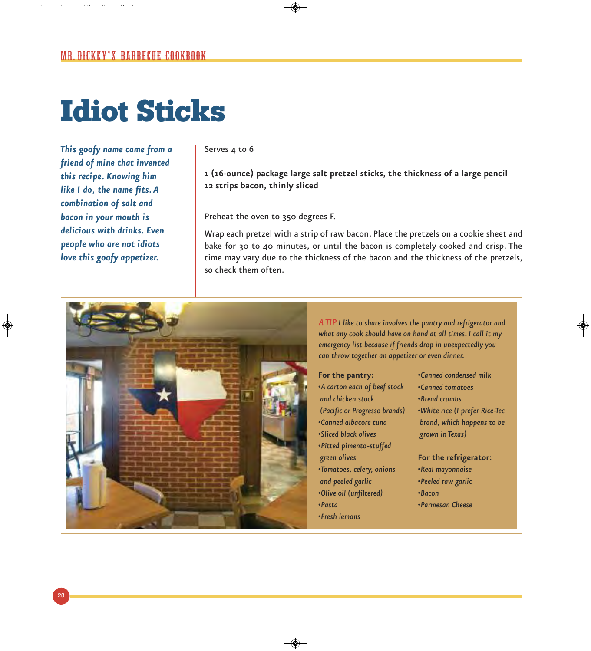## Idiot Sticks

*This goofy name came from a friend of mine that invented this recipe. Knowing him like I do, the name fits. A combination of salt and bacon in your mouth is delicious with drinks. Even people who are not idiots love this goofy appetizer.* 

Serves 4 to 6

**1 (16-ounce) package large salt pretzel sticks, the thickness of a large pencil 12 strips bacon, thinly sliced** 

Preheat the oven to 350 degrees F.

Wrap each pretzel with a strip of raw bacon. Place the pretzels on a cookie sheet and bake for 30 to 40 minutes, or until the bacon is completely cooked and crisp. The time may vary due to the thickness of the bacon and the thickness of the pretzels, so check them often.



*A TIP I like to share involves the pantry and refrigerator and what any cook should have on hand at all times. I call it my emergency list because if friends drop in unexpectedly you can throw together an appetizer or even dinner.*

**For the pantry:**

- *•A carton each of beef stock and chicken stock (Pacific or Progresso brands) •Canned albacore tuna •Sliced black olives •Pitted pimento-stuffed green olives •Tomatoes, celery, onions and peeled garlic •Olive oil (unfiltered) •Pasta*
- *•Canned condensed milk •Canned tomatoes •Bread crumbs*
- *•White rice (I prefer Rice-Tec brand, which happens to be grown in Texas)*

**For the refrigerator:**

- *•Real mayonnaise*
- *•Peeled raw garlic*
- *•Bacon*
- *•Parmesan Cheese*